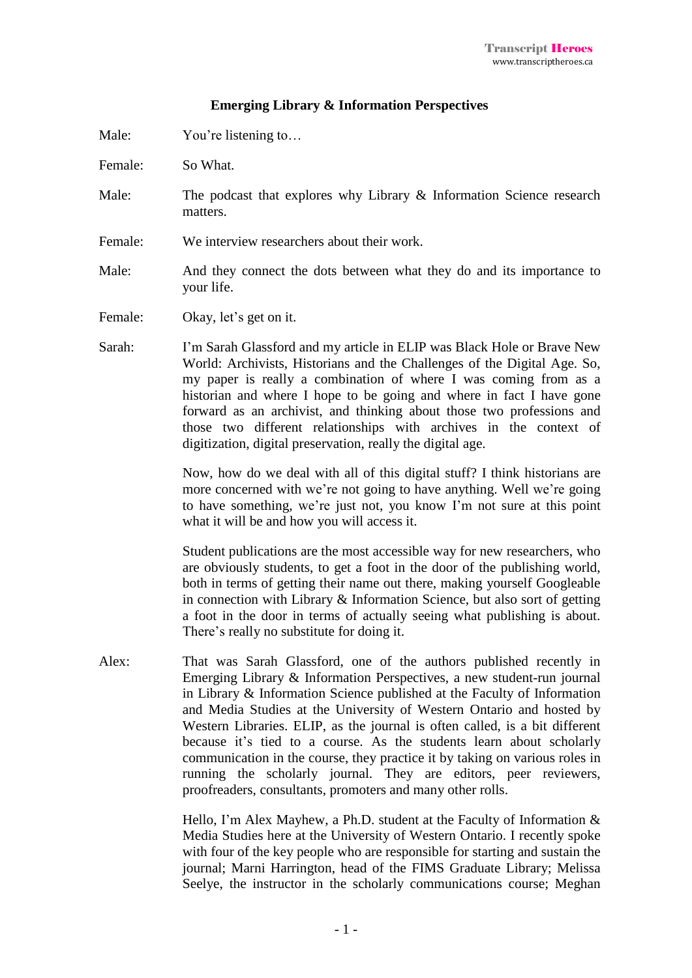## **Emerging Library & Information Perspectives**

Male: You're listening to...

- Female: So What.
- Male: The podcast that explores why Library & Information Science research matters.
- Female: We interview researchers about their work.
- Male: And they connect the dots between what they do and its importance to your life.
- Female: Okay, let's get on it.
- Sarah: I'm Sarah Glassford and my article in ELIP was Black Hole or Brave New World: Archivists, Historians and the Challenges of the Digital Age. So, my paper is really a combination of where I was coming from as a historian and where I hope to be going and where in fact I have gone forward as an archivist, and thinking about those two professions and those two different relationships with archives in the context of digitization, digital preservation, really the digital age.

Now, how do we deal with all of this digital stuff? I think historians are more concerned with we're not going to have anything. Well we're going to have something, we're just not, you know I'm not sure at this point what it will be and how you will access it.

Student publications are the most accessible way for new researchers, who are obviously students, to get a foot in the door of the publishing world, both in terms of getting their name out there, making yourself Googleable in connection with Library & Information Science, but also sort of getting a foot in the door in terms of actually seeing what publishing is about. There's really no substitute for doing it.

Alex: That was Sarah Glassford, one of the authors published recently in Emerging Library & Information Perspectives, a new student-run journal in Library & Information Science published at the Faculty of Information and Media Studies at the University of Western Ontario and hosted by Western Libraries. ELIP, as the journal is often called, is a bit different because it's tied to a course. As the students learn about scholarly communication in the course, they practice it by taking on various roles in running the scholarly journal. They are editors, peer reviewers, proofreaders, consultants, promoters and many other rolls.

> Hello, I'm Alex Mayhew, a Ph.D. student at the Faculty of Information & Media Studies here at the University of Western Ontario. I recently spoke with four of the key people who are responsible for starting and sustain the journal; Marni Harrington, head of the FIMS Graduate Library; Melissa Seelye, the instructor in the scholarly communications course; Meghan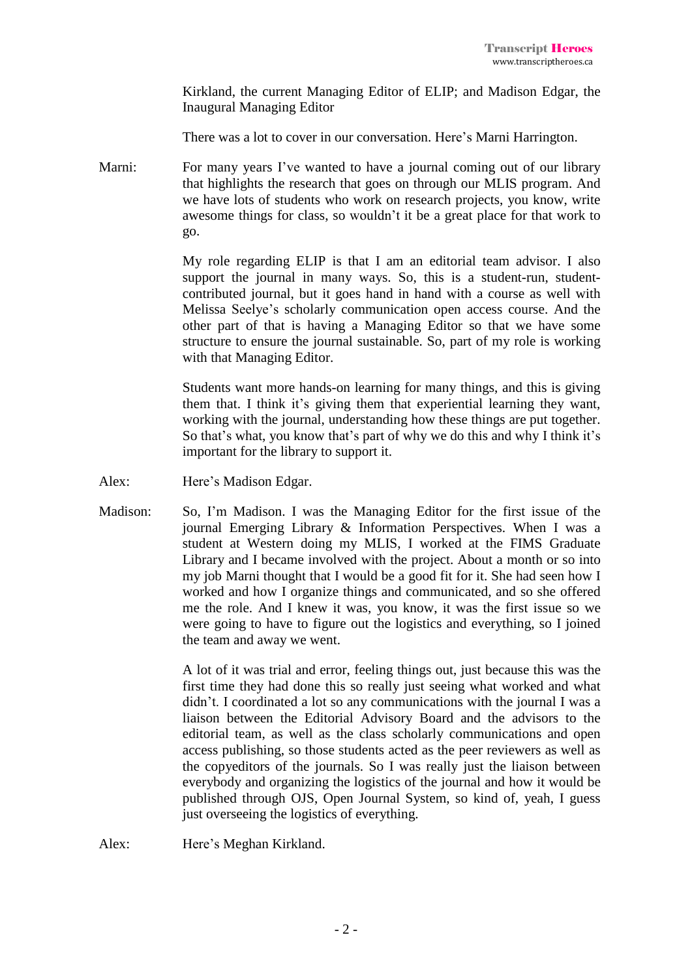Kirkland, the current Managing Editor of ELIP; and Madison Edgar, the Inaugural Managing Editor

There was a lot to cover in our conversation. Here's Marni Harrington.

Marni: For many years I've wanted to have a journal coming out of our library that highlights the research that goes on through our MLIS program. And we have lots of students who work on research projects, you know, write awesome things for class, so wouldn't it be a great place for that work to go.

> My role regarding ELIP is that I am an editorial team advisor. I also support the journal in many ways. So, this is a student-run, studentcontributed journal, but it goes hand in hand with a course as well with Melissa Seelye's scholarly communication open access course. And the other part of that is having a Managing Editor so that we have some structure to ensure the journal sustainable. So, part of my role is working with that Managing Editor.

> Students want more hands-on learning for many things, and this is giving them that. I think it's giving them that experiential learning they want, working with the journal, understanding how these things are put together. So that's what, you know that's part of why we do this and why I think it's important for the library to support it.

- Alex: Here's Madison Edgar.
- Madison: So, I'm Madison. I was the Managing Editor for the first issue of the journal Emerging Library & Information Perspectives. When I was a student at Western doing my MLIS, I worked at the FIMS Graduate Library and I became involved with the project. About a month or so into my job Marni thought that I would be a good fit for it. She had seen how I worked and how I organize things and communicated, and so she offered me the role. And I knew it was, you know, it was the first issue so we were going to have to figure out the logistics and everything, so I joined the team and away we went.

A lot of it was trial and error, feeling things out, just because this was the first time they had done this so really just seeing what worked and what didn't. I coordinated a lot so any communications with the journal I was a liaison between the Editorial Advisory Board and the advisors to the editorial team, as well as the class scholarly communications and open access publishing, so those students acted as the peer reviewers as well as the copyeditors of the journals. So I was really just the liaison between everybody and organizing the logistics of the journal and how it would be published through OJS, Open Journal System, so kind of, yeah, I guess just overseeing the logistics of everything.

Alex: Here's Meghan Kirkland.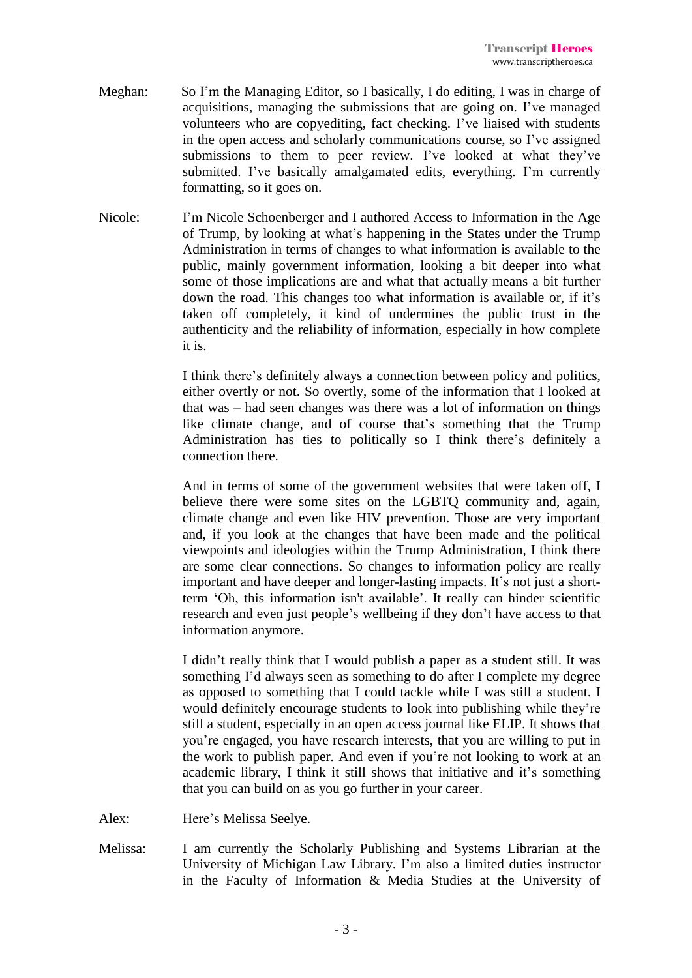- Meghan: So I'm the Managing Editor, so I basically, I do editing, I was in charge of acquisitions, managing the submissions that are going on. I've managed volunteers who are copyediting, fact checking. I've liaised with students in the open access and scholarly communications course, so I've assigned submissions to them to peer review. I've looked at what they've submitted. I've basically amalgamated edits, everything. I'm currently formatting, so it goes on.
- Nicole: I'm Nicole Schoenberger and I authored Access to Information in the Age of Trump, by looking at what's happening in the States under the Trump Administration in terms of changes to what information is available to the public, mainly government information, looking a bit deeper into what some of those implications are and what that actually means a bit further down the road. This changes too what information is available or, if it's taken off completely, it kind of undermines the public trust in the authenticity and the reliability of information, especially in how complete it is.

I think there's definitely always a connection between policy and politics, either overtly or not. So overtly, some of the information that I looked at that was – had seen changes was there was a lot of information on things like climate change, and of course that's something that the Trump Administration has ties to politically so I think there's definitely a connection there.

And in terms of some of the government websites that were taken off, I believe there were some sites on the LGBTQ community and, again, climate change and even like HIV prevention. Those are very important and, if you look at the changes that have been made and the political viewpoints and ideologies within the Trump Administration, I think there are some clear connections. So changes to information policy are really important and have deeper and longer-lasting impacts. It's not just a shortterm 'Oh, this information isn't available'. It really can hinder scientific research and even just people's wellbeing if they don't have access to that information anymore.

I didn't really think that I would publish a paper as a student still. It was something I'd always seen as something to do after I complete my degree as opposed to something that I could tackle while I was still a student. I would definitely encourage students to look into publishing while they're still a student, especially in an open access journal like ELIP. It shows that you're engaged, you have research interests, that you are willing to put in the work to publish paper. And even if you're not looking to work at an academic library, I think it still shows that initiative and it's something that you can build on as you go further in your career.

- Alex: Here's Melissa Seelye.
- Melissa: I am currently the Scholarly Publishing and Systems Librarian at the University of Michigan Law Library. I'm also a limited duties instructor in the Faculty of Information & Media Studies at the University of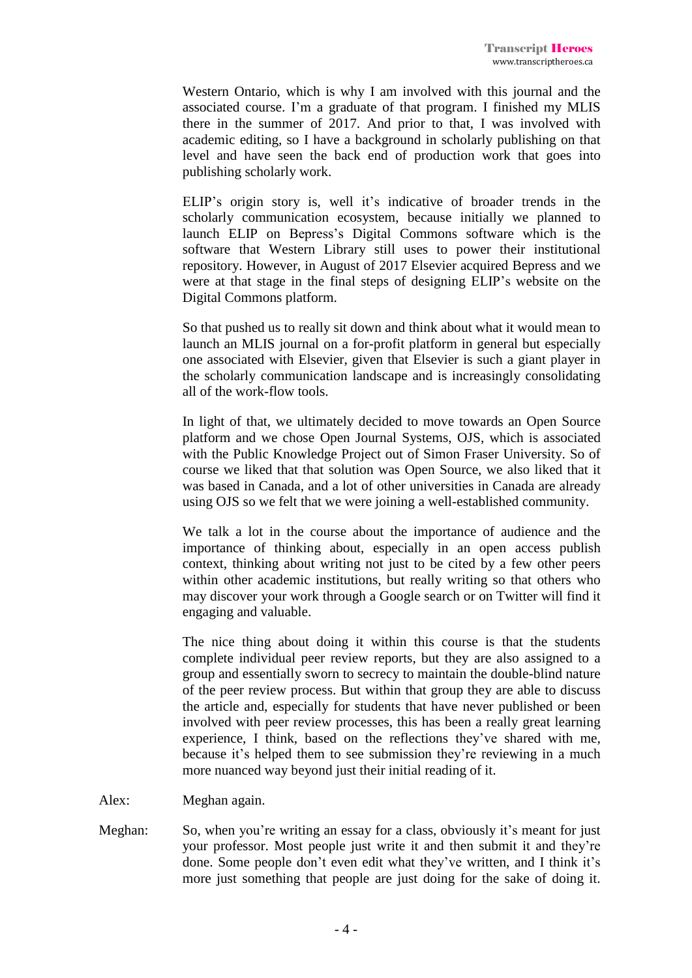Western Ontario, which is why I am involved with this journal and the associated course. I'm a graduate of that program. I finished my MLIS there in the summer of 2017. And prior to that, I was involved with academic editing, so I have a background in scholarly publishing on that level and have seen the back end of production work that goes into publishing scholarly work.

ELIP's origin story is, well it's indicative of broader trends in the scholarly communication ecosystem, because initially we planned to launch ELIP on Bepress's Digital Commons software which is the software that Western Library still uses to power their institutional repository. However, in August of 2017 Elsevier acquired Bepress and we were at that stage in the final steps of designing ELIP's website on the Digital Commons platform.

So that pushed us to really sit down and think about what it would mean to launch an MLIS journal on a for-profit platform in general but especially one associated with Elsevier, given that Elsevier is such a giant player in the scholarly communication landscape and is increasingly consolidating all of the work-flow tools.

In light of that, we ultimately decided to move towards an Open Source platform and we chose Open Journal Systems, OJS, which is associated with the Public Knowledge Project out of Simon Fraser University. So of course we liked that that solution was Open Source, we also liked that it was based in Canada, and a lot of other universities in Canada are already using OJS so we felt that we were joining a well-established community.

We talk a lot in the course about the importance of audience and the importance of thinking about, especially in an open access publish context, thinking about writing not just to be cited by a few other peers within other academic institutions, but really writing so that others who may discover your work through a Google search or on Twitter will find it engaging and valuable.

The nice thing about doing it within this course is that the students complete individual peer review reports, but they are also assigned to a group and essentially sworn to secrecy to maintain the double-blind nature of the peer review process. But within that group they are able to discuss the article and, especially for students that have never published or been involved with peer review processes, this has been a really great learning experience, I think, based on the reflections they've shared with me, because it's helped them to see submission they're reviewing in a much more nuanced way beyond just their initial reading of it.

Alex: Meghan again.

Meghan: So, when you're writing an essay for a class, obviously it's meant for just your professor. Most people just write it and then submit it and they're done. Some people don't even edit what they've written, and I think it's more just something that people are just doing for the sake of doing it.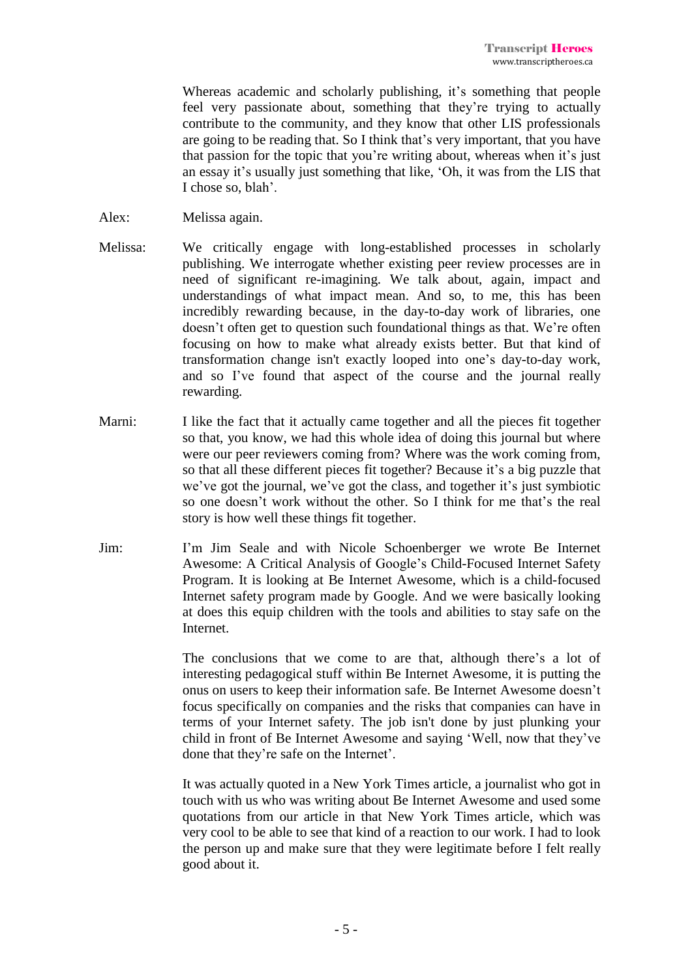Whereas academic and scholarly publishing, it's something that people feel very passionate about, something that they're trying to actually contribute to the community, and they know that other LIS professionals are going to be reading that. So I think that's very important, that you have that passion for the topic that you're writing about, whereas when it's just an essay it's usually just something that like, 'Oh, it was from the LIS that I chose so, blah'.

- Alex: Melissa again.
- Melissa: We critically engage with long-established processes in scholarly publishing. We interrogate whether existing peer review processes are in need of significant re-imagining. We talk about, again, impact and understandings of what impact mean. And so, to me, this has been incredibly rewarding because, in the day-to-day work of libraries, one doesn't often get to question such foundational things as that. We're often focusing on how to make what already exists better. But that kind of transformation change isn't exactly looped into one's day-to-day work, and so I've found that aspect of the course and the journal really rewarding.
- Marni: I like the fact that it actually came together and all the pieces fit together so that, you know, we had this whole idea of doing this journal but where were our peer reviewers coming from? Where was the work coming from, so that all these different pieces fit together? Because it's a big puzzle that we've got the journal, we've got the class, and together it's just symbiotic so one doesn't work without the other. So I think for me that's the real story is how well these things fit together.
- Jim: I'm Jim Seale and with Nicole Schoenberger we wrote Be Internet Awesome: A Critical Analysis of Google's Child-Focused Internet Safety Program. It is looking at Be Internet Awesome, which is a child-focused Internet safety program made by Google. And we were basically looking at does this equip children with the tools and abilities to stay safe on the Internet.

The conclusions that we come to are that, although there's a lot of interesting pedagogical stuff within Be Internet Awesome, it is putting the onus on users to keep their information safe. Be Internet Awesome doesn't focus specifically on companies and the risks that companies can have in terms of your Internet safety. The job isn't done by just plunking your child in front of Be Internet Awesome and saying 'Well, now that they've done that they're safe on the Internet'.

It was actually quoted in a New York Times article, a journalist who got in touch with us who was writing about Be Internet Awesome and used some quotations from our article in that New York Times article, which was very cool to be able to see that kind of a reaction to our work. I had to look the person up and make sure that they were legitimate before I felt really good about it.